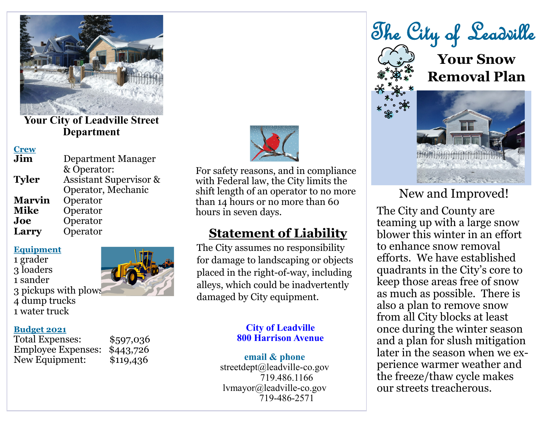

**Your City of Leadville Street Department**

#### **Crew**

| Jim           | Department Manager                |
|---------------|-----------------------------------|
|               | & Operator:                       |
| <b>Tyler</b>  | <b>Assistant Supervisor &amp;</b> |
|               | Operator, Mechanic                |
| <b>Marvin</b> | Operator                          |
| <b>Mike</b>   | Operator                          |
| Joe           | Operator                          |
| Larry         | Operator                          |
|               |                                   |

**Equipment**

1 grader 3 loaders 1 sander 3 pickups with plows 4 dump trucks 1 water truck

## **Budget 2021**

Total Expenses: \$597,036 Employee Expenses: \$443,726 New Equipment: \$119,436



For safety reasons, and in compliance with Federal law, the City limits the shift length of an operator to no more than 14 hours or no more than 60 hours in seven days.

# **Statement of Liability**

The City assumes no responsibility for damage to landscaping or objects placed in the right-of-way, including alleys, which could be inadvertently damaged by City equipment.

### **City of Leadville 800 Harrison Avenue**

#### **email & phone**

streetdept@leadville-co.gov 719.486.1166 lvmayor@leadville-co.gov 719-486-2571

The City of Leadville

**Your Snow Removal Plan**



# New and Improved!

The City and County are teaming up with a large snow blower this winter in an effort to enhance snow removal efforts. We have established quadrants in the City's core to keep those areas free of snow as much as possible. There is also a plan to remove snow from all City blocks at least once during the winter season and a plan for slush mitigation later in the season when we experience warmer weather and the freeze/thaw cycle makes our streets treacherous.